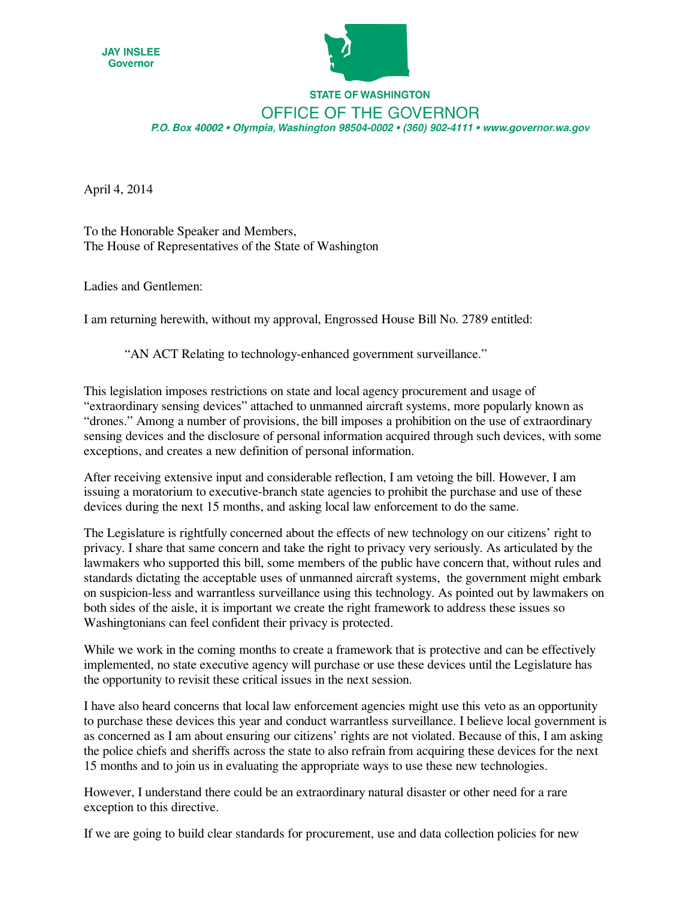



## **STATE OF WASHINGTON OFFICE OF THE GOVERNOR** P.O. Box 40002 · Olympia, Washington 98504-0002 · (360) 902-4111 · www.governor.wa.gov

April 4, 2014

To the Honorable Speaker and Members, The House of Representatives of the State of Washington

Ladies and Gentlemen:

I am returning herewith, without my approval, Engrossed House Bill No. 2789 entitled:

"AN ACT Relating to technology-enhanced government surveillance."

This legislation imposes restrictions on state and local agency procurement and usage of "extraordinary sensing devices" attached to unmanned aircraft systems, more popularly known as "drones." Among a number of provisions, the bill imposes a prohibition on the use of extraordinary sensing devices and the disclosure of personal information acquired through such devices, with some exceptions, and creates a new definition of personal information.

After receiving extensive input and considerable reflection, I am vetoing the bill. However, I am issuing a moratorium to executive-branch state agencies to prohibit the purchase and use of these devices during the next 15 months, and asking local law enforcement to do the same.

The Legislature is rightfully concerned about the effects of new technology on our citizens' right to privacy. I share that same concern and take the right to privacy very seriously. As articulated by the lawmakers who supported this bill, some members of the public have concern that, without rules and standards dictating the acceptable uses of unmanned aircraft systems, the government might embark on suspicion-less and warrantless surveillance using this technology. As pointed out by lawmakers on both sides of the aisle, it is important we create the right framework to address these issues so Washingtonians can feel confident their privacy is protected.

While we work in the coming months to create a framework that is protective and can be effectively implemented, no state executive agency will purchase or use these devices until the Legislature has the opportunity to revisit these critical issues in the next session.

I have also heard concerns that local law enforcement agencies might use this veto as an opportunity to purchase these devices this year and conduct warrantless surveillance. I believe local government is as concerned as I am about ensuring our citizens' rights are not violated. Because of this, I am asking the police chiefs and sheriffs across the state to also refrain from acquiring these devices for the next 15 months and to join us in evaluating the appropriate ways to use these new technologies.

However, I understand there could be an extraordinary natural disaster or other need for a rare exception to this directive.

If we are going to build clear standards for procurement, use and data collection policies for new